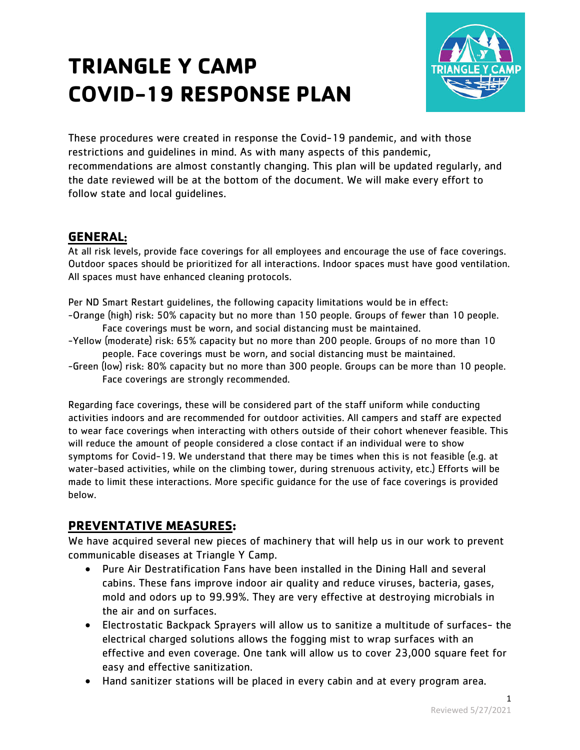# **TRIANGLE Y CAMP COVID-19 RESPONSE PLAN**



These procedures were created in response the Covid-19 pandemic, and with those restrictions and guidelines in mind. As with many aspects of this pandemic, recommendations are almost constantly changing. This plan will be updated regularly, and the date reviewed will be at the bottom of the document. We will make every effort to follow state and local guidelines.

# **GENERAL**:

At all risk levels, provide face coverings for all employees and encourage the use of face coverings. Outdoor spaces should be prioritized for all interactions. Indoor spaces must have good ventilation. All spaces must have enhanced cleaning protocols.

Per ND Smart Restart guidelines, the following capacity limitations would be in effect:

- -Orange (high) risk: 50% capacity but no more than 150 people. Groups of fewer than 10 people. Face coverings must be worn, and social distancing must be maintained.
- -Yellow (moderate) risk: 65% capacity but no more than 200 people. Groups of no more than 10 people. Face coverings must be worn, and social distancing must be maintained.
- -Green (low) risk: 80% capacity but no more than 300 people. Groups can be more than 10 people. Face coverings are strongly recommended.

Regarding face coverings, these will be considered part of the staff uniform while conducting activities indoors and are recommended for outdoor activities. All campers and staff are expected to wear face coverings when interacting with others outside of their cohort whenever feasible. This will reduce the amount of people considered a close contact if an individual were to show symptoms for Covid-19. We understand that there may be times when this is not feasible (e.g. at water-based activities, while on the climbing tower, during strenuous activity, etc.) Efforts will be made to limit these interactions. More specific guidance for the use of face coverings is provided below.

# **PREVENTATIVE MEASURES:**

We have acquired several new pieces of machinery that will help us in our work to prevent communicable diseases at Triangle Y Camp.

- Pure Air Destratification Fans have been installed in the Dining Hall and several cabins. These fans improve indoor air quality and reduce viruses, bacteria, gases, mold and odors up to 99.99%. They are very effective at destroying microbials in the air and on surfaces.
- Electrostatic Backpack Sprayers will allow us to sanitize a multitude of surfaces- the electrical charged solutions allows the fogging mist to wrap surfaces with an effective and even coverage. One tank will allow us to cover 23,000 square feet for easy and effective sanitization.
- Hand sanitizer stations will be placed in every cabin and at every program area.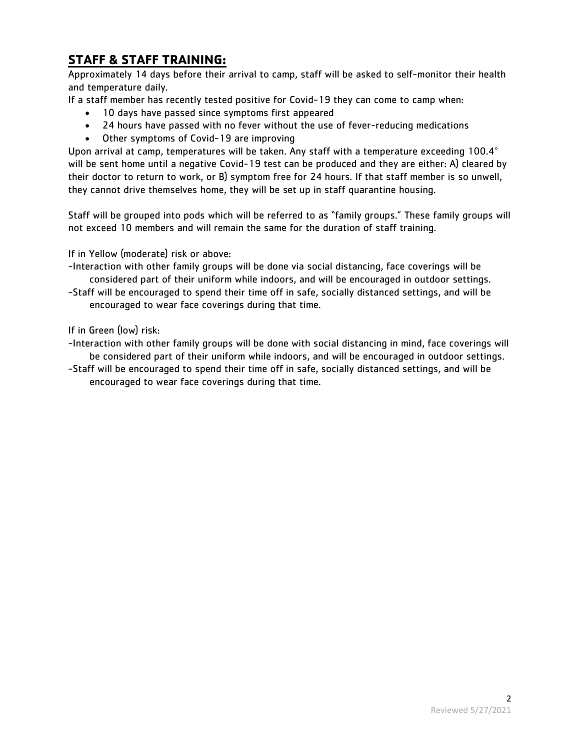# **STAFF & STAFF TRAINING:**

Approximately 14 days before their arrival to camp, staff will be asked to self-monitor their health and temperature daily.

If a staff member has recently tested positive for Covid-19 they can come to camp when:

- 10 days have passed since symptoms first appeared
- 24 hours have passed with no fever without the use of fever-reducing medications
- Other symptoms of Covid-19 are improving

Upon arrival at camp, temperatures will be taken. Any staff with a temperature exceeding 100.4° will be sent home until a negative Covid-19 test can be produced and they are either: A) cleared by their doctor to return to work, or B) symptom free for 24 hours. If that staff member is so unwell, they cannot drive themselves home, they will be set up in staff quarantine housing.

Staff will be grouped into pods which will be referred to as "family groups." These family groups will not exceed 10 members and will remain the same for the duration of staff training.

If in Yellow (moderate) risk or above:

-Interaction with other family groups will be done via social distancing, face coverings will be considered part of their uniform while indoors, and will be encouraged in outdoor settings.

-Staff will be encouraged to spend their time off in safe, socially distanced settings, and will be encouraged to wear face coverings during that time.

If in Green (low) risk:

-Interaction with other family groups will be done with social distancing in mind, face coverings will be considered part of their uniform while indoors, and will be encouraged in outdoor settings.

-Staff will be encouraged to spend their time off in safe, socially distanced settings, and will be encouraged to wear face coverings during that time.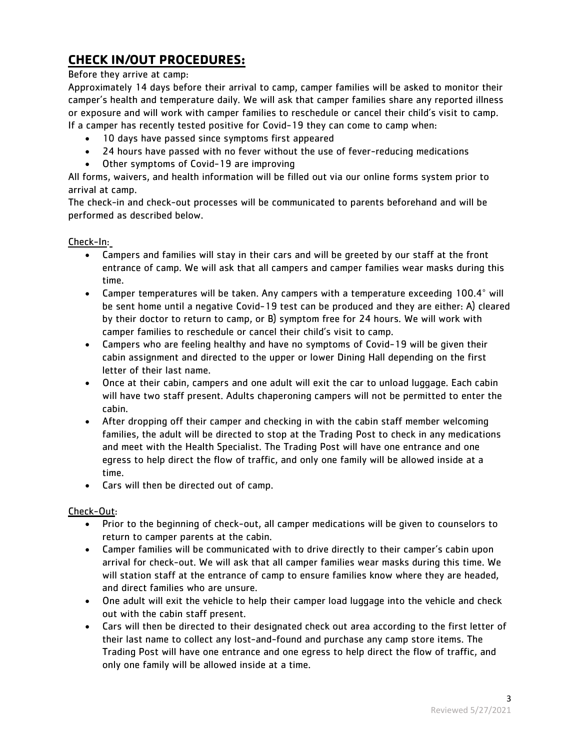# **CHECK IN/OUT PROCEDURES:**

#### Before they arrive at camp:

Approximately 14 days before their arrival to camp, camper families will be asked to monitor their camper's health and temperature daily. We will ask that camper families share any reported illness or exposure and will work with camper families to reschedule or cancel their child's visit to camp. If a camper has recently tested positive for Covid-19 they can come to camp when:

- 10 days have passed since symptoms first appeared
- 24 hours have passed with no fever without the use of fever-reducing medications
- Other symptoms of Covid-19 are improving

All forms, waivers, and health information will be filled out via our online forms system prior to arrival at camp.

The check-in and check-out processes will be communicated to parents beforehand and will be performed as described below.

#### Check-In:

- Campers and families will stay in their cars and will be greeted by our staff at the front entrance of camp. We will ask that all campers and camper families wear masks during this time.
- Camper temperatures will be taken. Any campers with a temperature exceeding 100.4° will be sent home until a negative Covid-19 test can be produced and they are either: A) cleared by their doctor to return to camp, or B) symptom free for 24 hours. We will work with camper families to reschedule or cancel their child's visit to camp.
- Campers who are feeling healthy and have no symptoms of Covid-19 will be given their cabin assignment and directed to the upper or lower Dining Hall depending on the first letter of their last name.
- Once at their cabin, campers and one adult will exit the car to unload luggage. Each cabin will have two staff present. Adults chaperoning campers will not be permitted to enter the cabin.
- After dropping off their camper and checking in with the cabin staff member welcoming families, the adult will be directed to stop at the Trading Post to check in any medications and meet with the Health Specialist. The Trading Post will have one entrance and one egress to help direct the flow of traffic, and only one family will be allowed inside at a time.
- Cars will then be directed out of camp.

#### Check-Out:

- Prior to the beginning of check-out, all camper medications will be given to counselors to return to camper parents at the cabin.
- Camper families will be communicated with to drive directly to their camper's cabin upon arrival for check-out. We will ask that all camper families wear masks during this time. We will station staff at the entrance of camp to ensure families know where they are headed, and direct families who are unsure.
- One adult will exit the vehicle to help their camper load luggage into the vehicle and check out with the cabin staff present.
- Cars will then be directed to their designated check out area according to the first letter of their last name to collect any lost-and-found and purchase any camp store items. The Trading Post will have one entrance and one egress to help direct the flow of traffic, and only one family will be allowed inside at a time.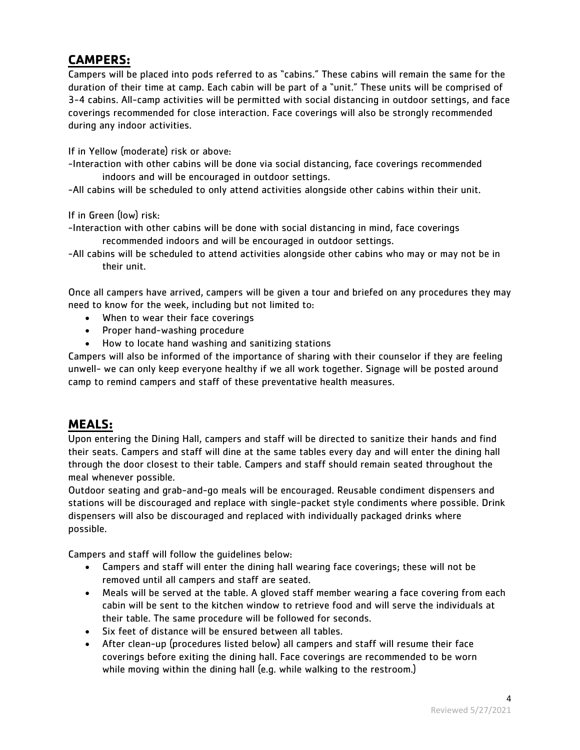# **CAMPERS:**

Campers will be placed into pods referred to as "cabins." These cabins will remain the same for the duration of their time at camp. Each cabin will be part of a "unit." These units will be comprised of 3-4 cabins. All-camp activities will be permitted with social distancing in outdoor settings, and face coverings recommended for close interaction. Face coverings will also be strongly recommended during any indoor activities.

If in Yellow (moderate) risk or above:

-Interaction with other cabins will be done via social distancing, face coverings recommended indoors and will be encouraged in outdoor settings.

-All cabins will be scheduled to only attend activities alongside other cabins within their unit.

If in Green (low) risk:

-Interaction with other cabins will be done with social distancing in mind, face coverings recommended indoors and will be encouraged in outdoor settings.

-All cabins will be scheduled to attend activities alongside other cabins who may or may not be in their unit.

Once all campers have arrived, campers will be given a tour and briefed on any procedures they may need to know for the week, including but not limited to:

- When to wear their face coverings
- Proper hand-washing procedure
- How to locate hand washing and sanitizing stations

Campers will also be informed of the importance of sharing with their counselor if they are feeling unwell- we can only keep everyone healthy if we all work together. Signage will be posted around camp to remind campers and staff of these preventative health measures.

### **MEALS:**

Upon entering the Dining Hall, campers and staff will be directed to sanitize their hands and find their seats. Campers and staff will dine at the same tables every day and will enter the dining hall through the door closest to their table. Campers and staff should remain seated throughout the meal whenever possible.

Outdoor seating and grab-and-go meals will be encouraged. Reusable condiment dispensers and stations will be discouraged and replace with single-packet style condiments where possible. Drink dispensers will also be discouraged and replaced with individually packaged drinks where possible.

Campers and staff will follow the guidelines below:

- Campers and staff will enter the dining hall wearing face coverings; these will not be removed until all campers and staff are seated.
- Meals will be served at the table. A gloved staff member wearing a face covering from each cabin will be sent to the kitchen window to retrieve food and will serve the individuals at their table. The same procedure will be followed for seconds.
- Six feet of distance will be ensured between all tables.
- After clean-up (procedures listed below) all campers and staff will resume their face coverings before exiting the dining hall. Face coverings are recommended to be worn while moving within the dining hall (e.g. while walking to the restroom.)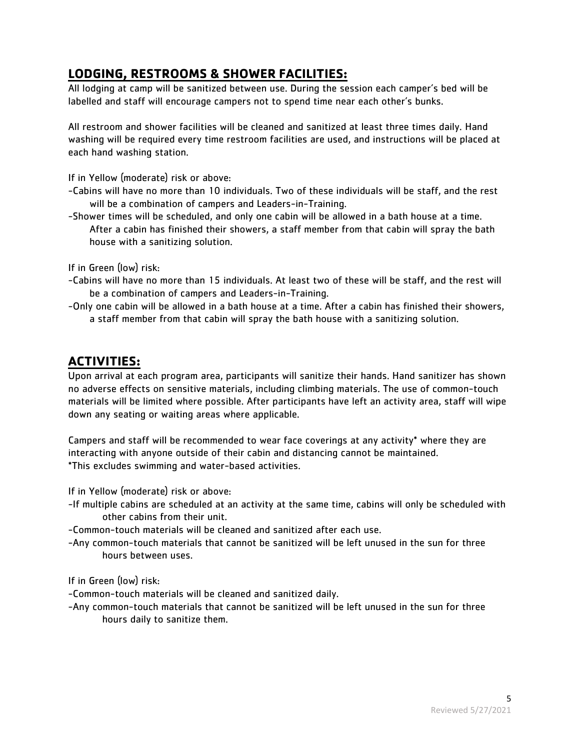# **LODGING, RESTROOMS & SHOWER FACILITIES:**

All lodging at camp will be sanitized between use. During the session each camper's bed will be labelled and staff will encourage campers not to spend time near each other's bunks.

All restroom and shower facilities will be cleaned and sanitized at least three times daily. Hand washing will be required every time restroom facilities are used, and instructions will be placed at each hand washing station.

If in Yellow (moderate) risk or above:

- -Cabins will have no more than 10 individuals. Two of these individuals will be staff, and the rest will be a combination of campers and Leaders-in-Training.
- -Shower times will be scheduled, and only one cabin will be allowed in a bath house at a time. After a cabin has finished their showers, a staff member from that cabin will spray the bath house with a sanitizing solution.

If in Green (low) risk:

- -Cabins will have no more than 15 individuals. At least two of these will be staff, and the rest will be a combination of campers and Leaders-in-Training.
- -Only one cabin will be allowed in a bath house at a time. After a cabin has finished their showers, a staff member from that cabin will spray the bath house with a sanitizing solution.

## **ACTIVITIES:**

Upon arrival at each program area, participants will sanitize their hands. Hand sanitizer has shown no adverse effects on sensitive materials, including climbing materials. The use of common-touch materials will be limited where possible. After participants have left an activity area, staff will wipe down any seating or waiting areas where applicable.

Campers and staff will be recommended to wear face coverings at any activity\* where they are interacting with anyone outside of their cabin and distancing cannot be maintained. \*This excludes swimming and water-based activities.

If in Yellow (moderate) risk or above:

- -If multiple cabins are scheduled at an activity at the same time, cabins will only be scheduled with other cabins from their unit.
- -Common-touch materials will be cleaned and sanitized after each use.
- -Any common-touch materials that cannot be sanitized will be left unused in the sun for three hours between uses.

If in Green (low) risk:

-Common-touch materials will be cleaned and sanitized daily.

-Any common-touch materials that cannot be sanitized will be left unused in the sun for three hours daily to sanitize them.